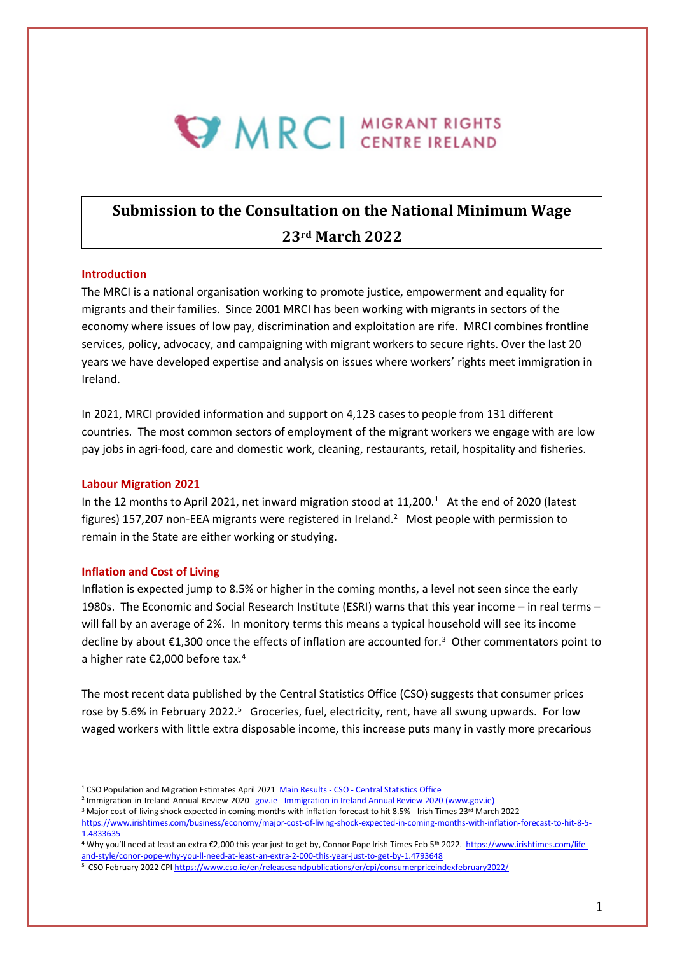# **WIRCI CENTRE IRELAND**

## **Submission to the Consultation on the National Minimum Wage 23rd March 2022**

#### **Introduction**

The MRCI is a national organisation working to promote justice, empowerment and equality for migrants and their families. Since 2001 MRCI has been working with migrants in sectors of the economy where issues of low pay, discrimination and exploitation are rife. MRCI combines frontline services, policy, advocacy, and campaigning with migrant workers to secure rights. Over the last 20 years we have developed expertise and analysis on issues where workers' rights meet immigration in Ireland.

In 2021, MRCI provided information and support on 4,123 cases to people from 131 different countries. The most common sectors of employment of the migrant workers we engage with are low pay jobs in agri-food, care and domestic work, cleaning, restaurants, retail, hospitality and fisheries.

#### **Labour Migration 2021**

In the 12 months to April 2021, net inward migration stood at 11,200.<sup>1</sup> At the end of 2020 (latest figures) 157,207 non-EEA migrants were registered in Ireland.<sup>2</sup> Most people with permission to remain in the State are either working or studying.

#### **Inflation and Cost of Living**

Inflation is expected jump to 8.5% or higher in the coming months, a level not seen since the early 1980s. The Economic and Social Research Institute (ESRI) warns that this year income – in real terms – will fall by an average of 2%. In monitory terms this means a typical household will see its income decline by about €1,300 once the effects of inflation are accounted for.<sup>3</sup> Other commentators point to a higher rate €2,000 before tax.<sup>4</sup>

The most recent data published by the Central Statistics Office (CSO) suggests that consumer prices rose by 5.6% in February 2022.<sup>5</sup> Groceries, fuel, electricity, rent, have all swung upwards. For low waged workers with little extra disposable income, this increase puts many in vastly more precarious

<sup>&</sup>lt;sup>1</sup> CSO Population and Migration Estimates April 2021 Main Results - CSO - [Central Statistics Office](https://www.cso.ie/en/releasesandpublications/ep/p-pme/populationandmigrationestimatesapril2021/mainresults/)

<sup>&</sup>lt;sup>2</sup> Immigration-in-Ireland-Annual-Review-2020 gov.ie - [Immigration in Ireland Annual Review 2020 \(www.gov.ie\)](https://www.gov.ie/en/publication/8bfed-immigration-in-ireland-annual-review-2020/)

<sup>&</sup>lt;sup>3</sup> Major cost-of-living shock expected in coming months with inflation forecast to hit 8.5% - Irish Times 23<sup>rd</sup> March 2022

[https://www.irishtimes.com/business/economy/major-cost-of-living-shock-expected-in-coming-months-with-inflation-forecast-to-hit-8-5-](https://www.irishtimes.com/business/economy/major-cost-of-living-shock-expected-in-coming-months-with-inflation-forecast-to-hit-8-5-1.4833635) [1.4833635](https://www.irishtimes.com/business/economy/major-cost-of-living-shock-expected-in-coming-months-with-inflation-forecast-to-hit-8-5-1.4833635)

**<sup>4</sup>** Why you'll need at least an extra €2,000 this year just to get by, Connor Pope Irish Times Feb 5th 2022. [https://www.irishtimes.com/life](https://www.irishtimes.com/life-and-style/conor-pope-why-you-ll-need-at-least-an-extra-2-000-this-year-just-to-get-by-1.4793648)[and-style/conor-pope-why-you-ll-need-at-least-an-extra-2-000-this-year-just-to-get-by-1.4793648](https://www.irishtimes.com/life-and-style/conor-pope-why-you-ll-need-at-least-an-extra-2-000-this-year-just-to-get-by-1.4793648)

<sup>&</sup>lt;sup>5</sup> CSO February 2022 CP[I https://www.cso.ie/en/releasesandpublications/er/cpi/consumerpriceindexfebruary2022/](https://www.cso.ie/en/releasesandpublications/er/cpi/consumerpriceindexfebruary2022/)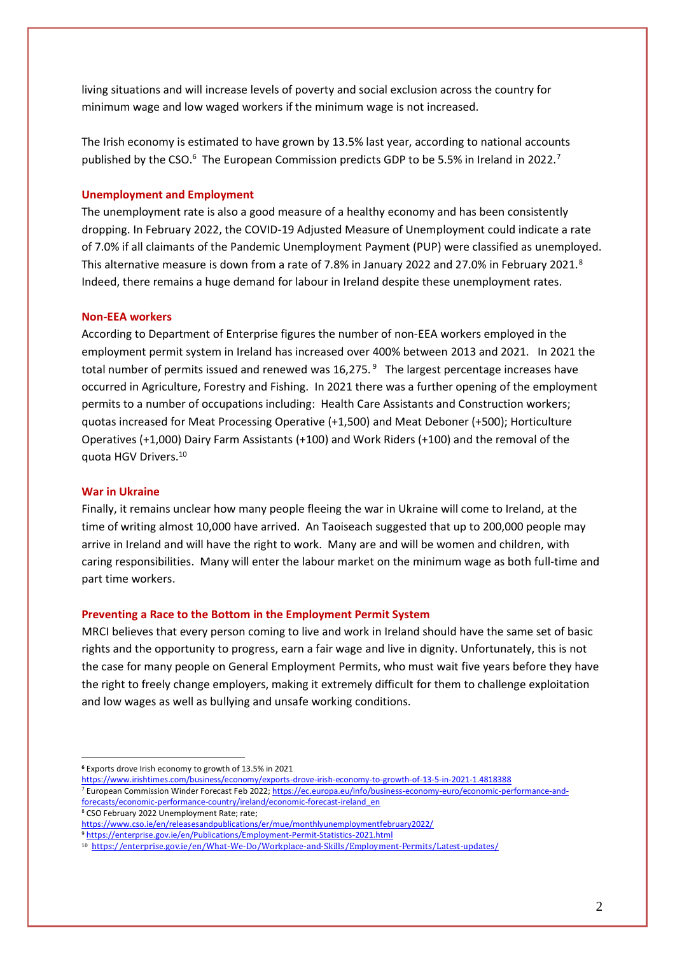living situations and will increase levels of poverty and social exclusion across the country for minimum wage and low waged workers if the minimum wage is not increased.

The Irish economy is estimated to have grown by 13.5% last year, according to national accounts published by the CSO.<sup>6</sup> The European Commission predicts GDP to be 5.5% in Ireland in 2022.<sup>7</sup>

#### **Unemployment and Employment**

The unemployment rate is also a good measure of a healthy economy and has been consistently dropping. In February 2022, the COVID-19 Adjusted Measure of Unemployment could indicate a rate of 7.0% if all claimants of the Pandemic Unemployment Payment (PUP) were classified as unemployed. This alternative measure is down from a rate of 7.8% in January 2022 and 27.0% in February 2021.<sup>8</sup> Indeed, there remains a huge demand for labour in Ireland despite these unemployment rates.

#### **Non-EEA workers**

According to Department of Enterprise figures the number of non-EEA workers employed in the employment permit system in Ireland has increased over 400% between 2013 and 2021. In 2021 the total number of permits issued and renewed was 16,275.<sup>9</sup> The largest percentage increases have occurred in Agriculture, Forestry and Fishing. In 2021 there was a further opening of the employment permits to a number of occupations including: Health Care Assistants and Construction workers; quotas increased for Meat Processing Operative (+1,500) and Meat Deboner (+500); Horticulture Operatives (+1,000) Dairy Farm Assistants (+100) and Work Riders (+100) and the removal of the quota HGV Drivers. 10

#### **War in Ukraine**

Finally, it remains unclear how many people fleeing the war in Ukraine will come to Ireland, at the time of writing almost 10,000 have arrived. An Taoiseach suggested that up to 200,000 people may arrive in Ireland and will have the right to work. Many are and will be women and children, with caring responsibilities. Many will enter the labour market on the minimum wage as both full-time and part time workers.

#### **Preventing a Race to the Bottom in the Employment Permit System**

MRCI believes that every person coming to live and work in Ireland should have the same set of basic rights and the opportunity to progress, earn a fair wage and live in dignity. Unfortunately, this is not the case for many people on General Employment Permits, who must wait five years before they have the right to freely change employers, making it extremely difficult for them to challenge exploitation and low wages as well as bullying and unsafe working conditions.

- <sup>7</sup> European Commission Winder Forecast Feb 2022[; https://ec.europa.eu/info/business-economy-euro/economic-performance-and](https://ec.europa.eu/info/business-economy-euro/economic-performance-and-forecasts/economic-performance-country/ireland/economic-forecast-ireland_en)[forecasts/economic-performance-country/ireland/economic-forecast-ireland\\_en](https://ec.europa.eu/info/business-economy-euro/economic-performance-and-forecasts/economic-performance-country/ireland/economic-forecast-ireland_en)
- <sup>8</sup> CSO February 2022 Unemployment Rate; rate;

**<sup>6</sup>** Exports drove Irish economy to growth of 13.5% in 2021

<https://www.irishtimes.com/business/economy/exports-drove-irish-economy-to-growth-of-13-5-in-2021-1.4818388>

<https://www.cso.ie/en/releasesandpublications/er/mue/monthlyunemploymentfebruary2022/>

<sup>9</sup> <https://enterprise.gov.ie/en/Publications/Employment-Permit-Statistics-2021.html>

<sup>10</sup><https://enterprise.gov.ie/en/What-We-Do/Workplace-and-Skills/Employment-Permits/Latest-updates/>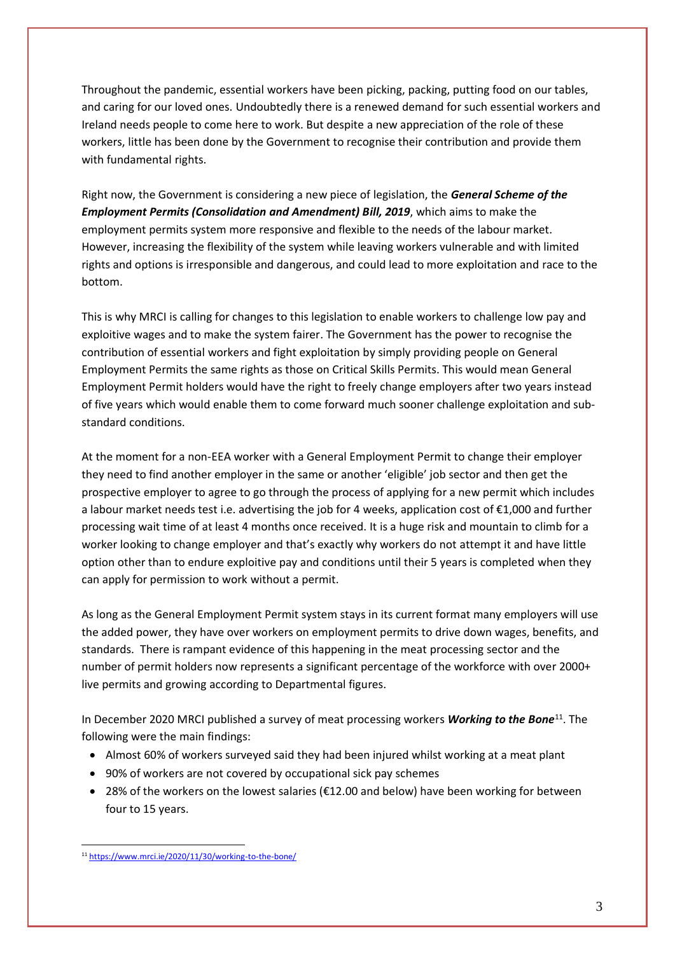Throughout the pandemic, essential workers have been picking, packing, putting food on our tables, and caring for our loved ones. Undoubtedly there is a renewed demand for such essential workers and Ireland needs people to come here to work. But despite a new appreciation of the role of these workers, little has been done by the Government to recognise their contribution and provide them with fundamental rights.

Right now, the Government is considering a new piece of legislation, the *General Scheme of the Employment Permits (Consolidation and Amendment) Bill, 2019*, which aims to make the employment permits system more responsive and flexible to the needs of the labour market. However, increasing the flexibility of the system while leaving workers vulnerable and with limited rights and options is irresponsible and dangerous, and could lead to more exploitation and race to the bottom.

This is why MRCI is calling for changes to this legislation to enable workers to challenge low pay and exploitive wages and to make the system fairer. The Government has the power to recognise the contribution of essential workers and fight exploitation by simply providing people on General Employment Permits the same rights as those on Critical Skills Permits. This would mean General Employment Permit holders would have the right to freely change employers after two years instead of five years which would enable them to come forward much sooner challenge exploitation and substandard conditions.

At the moment for a non-EEA worker with a General Employment Permit to change their employer they need to find another employer in the same or another 'eligible' job sector and then get the prospective employer to agree to go through the process of applying for a new permit which includes a labour market needs test i.e. advertising the job for 4 weeks, application cost of €1,000 and further processing wait time of at least 4 months once received. It is a huge risk and mountain to climb for a worker looking to change employer and that's exactly why workers do not attempt it and have little option other than to endure exploitive pay and conditions until their 5 years is completed when they can apply for permission to work without a permit.

As long as the General Employment Permit system stays in its current format many employers will use the added power, they have over workers on employment permits to drive down wages, benefits, and standards. There is rampant evidence of this happening in the meat processing sector and the number of permit holders now represents a significant percentage of the workforce with over 2000+ live permits and growing according to Departmental figures.

In December 2020 MRCI published a survey of meat processing workers *Working to the Bone*<sup>11</sup>. The following were the main findings:

- Almost 60% of workers surveyed said they had been injured whilst working at a meat plant
- 90% of workers are not covered by occupational sick pay schemes
- 28% of the workers on the lowest salaries (€12.00 and below) have been working for between four to 15 years.

<sup>11</sup> <https://www.mrci.ie/2020/11/30/working-to-the-bone/>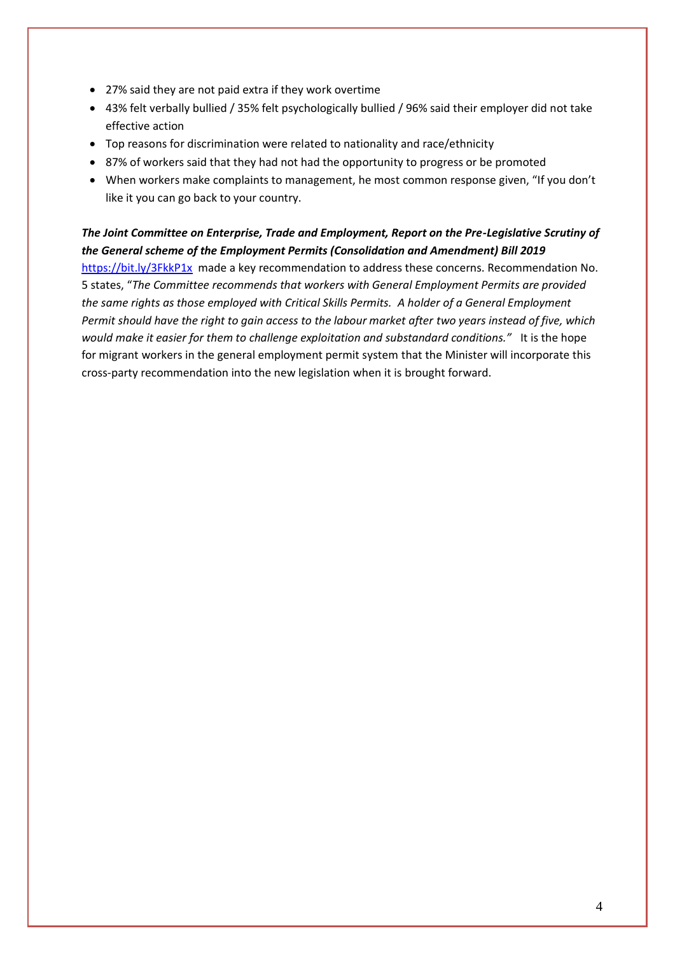- 27% said they are not paid extra if they work overtime
- 43% felt verbally bullied / 35% felt psychologically bullied / 96% said their employer did not take effective action
- Top reasons for discrimination were related to nationality and race/ethnicity
- 87% of workers said that they had not had the opportunity to progress or be promoted
- When workers make complaints to management, he most common response given, "If you don't like it you can go back to your country.

### *The Joint Committee on Enterprise, Trade and Employment, Report on the Pre-Legislative Scrutiny of the General scheme of the Employment Permits (Consolidation and Amendment) Bill 2019*

<https://bit.ly/3FkkP1x>made a key recommendation to address these concerns. Recommendation No. 5 states, "*The Committee recommends that workers with General Employment Permits are provided the same rights as those employed with Critical Skills Permits. A holder of a General Employment Permit should have the right to gain access to the labour market after two years instead of five, which would make it easier for them to challenge exploitation and substandard conditions."*It is the hope for migrant workers in the general employment permit system that the Minister will incorporate this cross-party recommendation into the new legislation when it is brought forward.